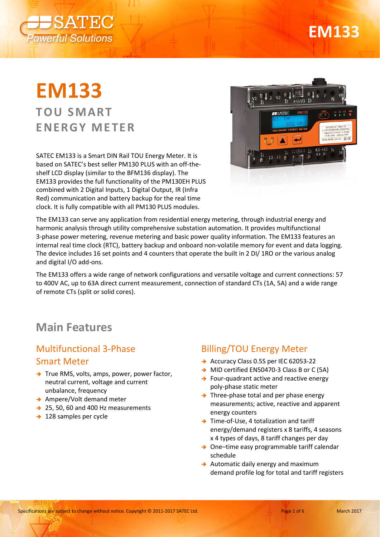



# **EM133 TOU SMART ENERGY METER**

SATEC EM133 is a Smart DIN Rail TOU Energy Meter. It is based on SATEC's best seller PM130 PLUS with an off-theshelf LCD display (similar to the BFM136 display). The EM133 provides the full functionality of the PM130EH PLUS combined with 2 Digital Inputs, 1 Digital Output, IR (Infra Red) communication and battery backup for the real time clock. It is fully compatible with all PM130 PLUS modules.



The EM133 can serve any application from residential energy metering, through industrial energy and harmonic analysis through utility comprehensive substation automation. It provides multifunctional 3-phase power metering, revenue metering and basic power quality information. The EM133 features an internal real time clock (RTC), battery backup and onboard non-volatile memory for event and data logging. The device includes 16 set points and 4 counters that operate the built in 2 DI/ 1RO or the various analog and digital I/O add-ons.

The EM133 offers a wide range of network configurations and versatile voltage and current connections: 57 to 400V AC, up to 63A direct current measurement, connection of standard CTs (1A, 5A) and a wide range of remote CTs (split or solid cores).

## **Main Features**

# Multifunctional 3-Phase

#### Smart Meter

- $\rightarrow$  True RMS, volts, amps, power, power factor, neutral current, voltage and current unbalance, frequency
- $\rightarrow$  Ampere/Volt demand meter
- $\rightarrow$  25, 50, 60 and 400 Hz measurements
- $\rightarrow$  128 samples per cycle

#### Billing/TOU Energy Meter

- → Accuracy Class 0.5S per IEC 62053-22
- → MID certified EN50470-3 Class B or C (5A)
- $\rightarrow$  Four-quadrant active and reactive energy poly-phase static meter
- $\rightarrow$  Three-phase total and per phase energy measurements; active, reactive and apparent energy counters
- $\rightarrow$  Time-of-Use, 4 totalization and tariff energy/demand registers x 8 tariffs, 4 seasons x 4 types of days, 8 tariff changes per day
- $\rightarrow$  One–time easy programmable tariff calendar schedule
- $\rightarrow$  Automatic daily energy and maximum demand profile log for total and tariff registers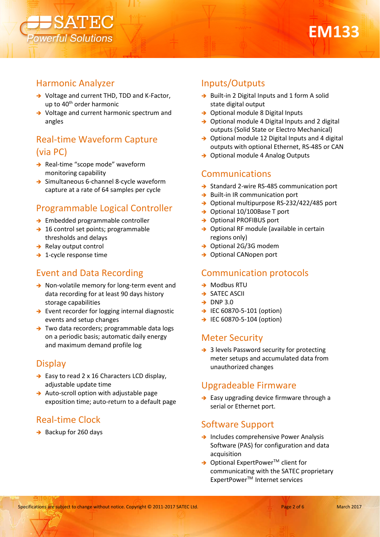



#### Harmonic Analyzer

- → Voltage and current THD, TDD and K-Factor, up to 40<sup>th</sup> order harmonic
- → Voltage and current harmonic spectrum and angles

## Real-time Waveform Capture (via PC)

- → Real-time "scope mode" waveform monitoring capability
- Simultaneous 6-channel 8-cycle waveform capture at a rate of 64 samples per cycle

#### Programmable Logical Controller

- → Embedded programmable controller
- $\rightarrow$  16 control set points; programmable thresholds and delays
- $\rightarrow$  Relay output control
- $\rightarrow$  1-cycle response time

### Event and Data Recording

- → Non-volatile memory for long-term event and data recording for at least 90 days history storage capabilities
- $\rightarrow$  Event recorder for logging internal diagnostic events and setup changes
- → Two data recorders; programmable data logs on a periodic basis; automatic daily energy and maximum demand profile log

#### **Display**

- $\rightarrow$  Easy to read 2 x 16 Characters LCD display, adjustable update time
- $\rightarrow$  Auto-scroll option with adjustable page exposition time; auto-return to a default page

#### Real-time Clock

 $\rightarrow$  Backup for 260 days

#### Inputs/Outputs

- $\rightarrow$  Built-in 2 Digital Inputs and 1 form A solid state digital output
- → Optional module 8 Digital Inputs
- $\rightarrow$  Optional module 4 Digital Inputs and 2 digital outputs (Solid State or Electro Mechanical)
- → Optional module 12 Digital Inputs and 4 digital outputs with optional Ethernet, RS-485 or CAN
- → Optional module 4 Analog Outputs

#### Communications

- $\rightarrow$  Standard 2-wire RS-485 communication port
- $\rightarrow$  Built-in IR communication port
- → Optional multipurpose RS-232/422/485 port
- → Optional 10/100Base T port
- → Optional PROFIBUS port
- → Optional RF module (available in certain regions only)
- → Optional 2G/3G modem
- → Optional CANopen port

#### Communication protocols

- $\rightarrow$  Modbus RTU
- **→ SATEC ASCII**
- $\rightarrow$  DNP 3.0
- $\rightarrow$  IEC 60870-5-101 (option)
- $\rightarrow$  IEC 60870-5-104 (option)

#### Meter Security

→ 3 levels Password security for protecting meter setups and accumulated data from unauthorized changes

#### Upgradeable Firmware

 $\rightarrow$  Easy upgrading device firmware through a serial or Ethernet port.

#### Software Support

- $\rightarrow$  Includes comprehensive Power Analysis Software (PAS) for configuration and data acquisition
- → Optional ExpertPower™ client for communicating with the SATEC proprietary ExpertPowerTM Internet services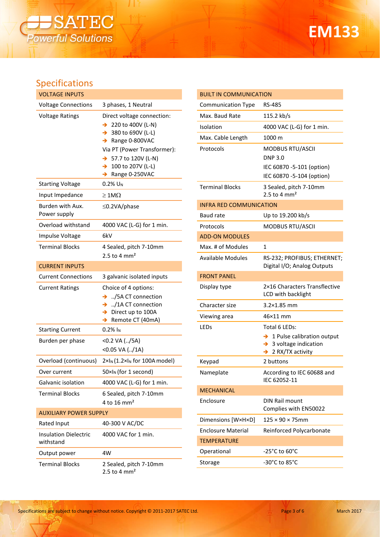

# **EM133**

## Specifications

| <b>VOLTAGE INPUTS</b>                     |                                                                                                                                                                                                                                                       |  |  |  |  |  |
|-------------------------------------------|-------------------------------------------------------------------------------------------------------------------------------------------------------------------------------------------------------------------------------------------------------|--|--|--|--|--|
| <b>Voltage Connections</b>                | 3 phases, 1 Neutral                                                                                                                                                                                                                                   |  |  |  |  |  |
| <b>Voltage Ratings</b>                    | Direct voltage connection:<br>220 to 400V (L-N)<br>380 to 690V (L-L)<br>$\rightarrow$<br>$\rightarrow$ Range 0-800VAC<br>Via PT (Power Transformer):<br>$\rightarrow$ 57.7 to 120V (L-N)<br>100 to 207V (L-L)<br>$\rightarrow$<br>Range 0-250VAC<br>→ |  |  |  |  |  |
| <b>Starting Voltage</b>                   | $0.2\%$ U <sub>N</sub>                                                                                                                                                                                                                                |  |  |  |  |  |
| Input Impedance                           | $\geq 1$ M $\Omega$                                                                                                                                                                                                                                   |  |  |  |  |  |
| Burden with Aux.<br>Power supply          | $\leq$ 0.2VA/phase                                                                                                                                                                                                                                    |  |  |  |  |  |
| Overload withstand                        | 4000 VAC (L-G) for 1 min.                                                                                                                                                                                                                             |  |  |  |  |  |
| Impulse Voltage                           | 6kV                                                                                                                                                                                                                                                   |  |  |  |  |  |
| <b>Terminal Blocks</b>                    | 4 Sealed, pitch 7-10mm<br>2.5 to 4 $mm2$                                                                                                                                                                                                              |  |  |  |  |  |
| <b>CURRENT INPUTS</b>                     |                                                                                                                                                                                                                                                       |  |  |  |  |  |
| <b>Current Connections</b>                | 3 galvanic isolated inputs                                                                                                                                                                                                                            |  |  |  |  |  |
| <b>Current Ratings</b>                    | Choice of 4 options:<br>/5A CT connection<br>$\rightarrow$<br>/1A CT connection<br>$\rightarrow$<br>Direct up to 100A<br>$\rightarrow$                                                                                                                |  |  |  |  |  |
|                                           | Remote CT (40mA)<br>$\rightarrow$                                                                                                                                                                                                                     |  |  |  |  |  |
| <b>Starting Current</b>                   | $0.2\%$ In                                                                                                                                                                                                                                            |  |  |  |  |  |
| Burden per phase                          | <0.2 VA (/5A)<br><0.05 VA (/1A)                                                                                                                                                                                                                       |  |  |  |  |  |
| Overload (continuous)                     | $2 \times I_N$ (1.2× $I_N$ for 100A model)                                                                                                                                                                                                            |  |  |  |  |  |
| Over current                              | 50×I <sub>N</sub> (for 1 second)                                                                                                                                                                                                                      |  |  |  |  |  |
| Galvanic isolation                        | 4000 VAC (L-G) for 1 min.                                                                                                                                                                                                                             |  |  |  |  |  |
| <b>Terminal Blocks</b>                    | 6 Sealed, pitch 7-10mm<br>4 to 16 mm <sup>2</sup>                                                                                                                                                                                                     |  |  |  |  |  |
| <b>AUXILIARY POWER SUPPLY</b>             |                                                                                                                                                                                                                                                       |  |  |  |  |  |
| Rated Input                               | 40-300 V AC/DC                                                                                                                                                                                                                                        |  |  |  |  |  |
| <b>Insulation Dielectric</b><br>withstand | 4000 VAC for 1 min.                                                                                                                                                                                                                                   |  |  |  |  |  |
| Output power                              | 4W                                                                                                                                                                                                                                                    |  |  |  |  |  |

| <b>BUILT IN COMMUNICATION</b>  |                                                                                                                        |
|--------------------------------|------------------------------------------------------------------------------------------------------------------------|
| <b>Communication Type</b>      | RS-485                                                                                                                 |
| Max. Baud Rate                 | 115.2 kb/s                                                                                                             |
| Isolation                      | 4000 VAC (L-G) for 1 min.                                                                                              |
| Max. Cable Length              | 1000 m                                                                                                                 |
| Protocols                      | <b>MODBUS RTU/ASCII</b>                                                                                                |
|                                | <b>DNP 3.0</b>                                                                                                         |
|                                | IEC 60870 -5-101 (option)                                                                                              |
|                                | IEC 60870 -5-104 (option)                                                                                              |
| <b>Terminal Blocks</b>         | 3 Sealed, pitch 7-10mm<br>2.5 to 4 $mm2$                                                                               |
| <b>INFRA RED COMMUNICATION</b> |                                                                                                                        |
| Baud rate                      | Up to 19.200 kb/s                                                                                                      |
| Protocols                      | <b>MODBUS RTU/ASCII</b>                                                                                                |
| <b>ADD-ON MODULES</b>          |                                                                                                                        |
| Max. # of Modules              | 1                                                                                                                      |
| <b>Available Modules</b>       | RS-232; PROFIBUS; ETHERNET;<br>Digital I/O; Analog Outputs                                                             |
| <b>FRONT PANEL</b>             |                                                                                                                        |
| Display type                   | 2×16 Characters Transflective<br>LCD with backlight                                                                    |
| Character size                 | $3.2\times1.85$ mm                                                                                                     |
| Viewing area                   | 46×11 mm                                                                                                               |
| LEDs                           | Total 6 LEDs:                                                                                                          |
|                                | $\rightarrow$ 1 Pulse calibration output<br>3 voltage indication<br>$\rightarrow$<br>2 RX/TX activity<br>$\rightarrow$ |
| Keypad                         | 2 buttons                                                                                                              |
| Nameplate                      | According to IEC 60688 and<br>IEC 62052-11                                                                             |
| <b>MECHANICAL</b>              |                                                                                                                        |
| Enclosure                      | DIN Rail mount<br>Complies with EN50022                                                                                |
| Dimensions [W×H×D]             | $125 \times 90 \times 75$ mm                                                                                           |
| <b>Enclosure Material</b>      | Reinforced Polycarbonate                                                                                               |
| <b>TEMPERATURE</b>             |                                                                                                                        |
| Operational                    | $-25^{\circ}$ C to 60 $^{\circ}$ C                                                                                     |
| Storage                        | -30°C to 85°C                                                                                                          |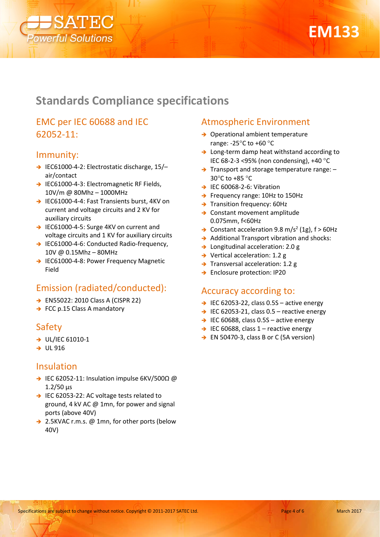

# **EM133**

# **Standards Compliance specifications**

### EMC per IEC 60688 and IEC 62052-11:

#### Immunity:

- → IEC61000-4-2: Electrostatic discharge, 15/air/contact
- → IEC61000-4-3: Electromagnetic RF Fields, 10V/m @ 80Mhz – 1000MHz
- → IEC61000-4-4: Fast Transients burst, 4KV on current and voltage circuits and 2 KV for auxiliary circuits
- → IEC61000-4-5: Surge 4KV on current and voltage circuits and 1 KV for auxiliary circuits
- → IEC61000-4-6: Conducted Radio-frequency, 10V @ 0.15Mhz – 80MHz
- → IEC61000-4-8: Power Frequency Magnetic Field

### Emission (radiated/conducted):

- → EN55022: 2010 Class A (CISPR 22)
- $\rightarrow$  FCC p.15 Class A mandatory

#### Safety

- $\rightarrow$  UL/IEC 61010-1
- $\rightarrow$  UL 916

#### Insulation

- IEC 62052-11: Insulation impulse 6KV/500Ω @ 1.2/50 μs
- → IEC 62053-22: AC voltage tests related to ground, 4 kV AC @ 1mn, for power and signal ports (above 40V)
- → 2.5KVAC r.m.s. @ 1mn, for other ports (below 40V)

#### Atmospheric Environment

- → Operational ambient temperature range: -25°C to +60 °C
- $\rightarrow$  Long-term damp heat withstand according to IEC 68-2-3 <95% (non condensing), +40 °C
- $\rightarrow$  Transport and storage temperature range:  $-$ 30°C to +85 °C
- $\rightarrow$  IEC 60068-2-6: Vibration
- → Frequency range: 10Hz to 150Hz
- $\rightarrow$  Transition frequency: 60Hz
- → Constant movement amplitude 0.075mm, f<60Hz
- $\rightarrow$  Constant acceleration 9.8 m/s<sup>2</sup> (1g), f > 60Hz
- $\rightarrow$  Additional Transport vibration and shocks:
- → Longitudinal acceleration: 2.0 g
- $\rightarrow$  Vertical acceleration: 1.2 g
- $\rightarrow$  Transversal acceleration: 1.2 g
- → Enclosure protection: IP20

#### Accuracy according to:

- $\rightarrow$  IEC 62053-22, class 0.5S active energy
- $\rightarrow$  IEC 62053-21, class 0.5 reactive energy
- $\rightarrow$  IEC 60688, class 0.5S active energy
- $\rightarrow$  IEC 60688, class 1 reactive energy
- → EN 50470-3, class B or C (5A version)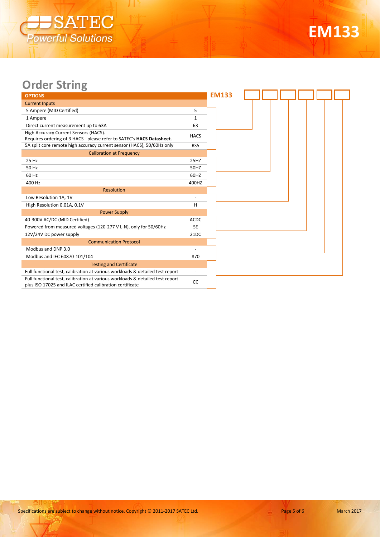



## **Order String**

| <b>OPTIONS</b>                                                                                                                             |             | <b>EM133</b> |  |  |  |
|--------------------------------------------------------------------------------------------------------------------------------------------|-------------|--------------|--|--|--|
| <b>Current Inputs</b>                                                                                                                      |             |              |  |  |  |
| 5 Ampere (MID Certified)                                                                                                                   | 5           |              |  |  |  |
| 1 Ampere                                                                                                                                   | 1           |              |  |  |  |
| Direct current measurement up to 63A                                                                                                       | 63          |              |  |  |  |
| High Accuracy Current Sensors (HACS).<br>Requires ordering of 3 HACS - please refer to SATEC's HACS Datasheet.                             | <b>HACS</b> |              |  |  |  |
| 5A split core remote high accuracy current sensor (HACS), 50/60Hz only                                                                     | RS5         |              |  |  |  |
| <b>Calibration at Frequency</b>                                                                                                            |             |              |  |  |  |
| 25 Hz                                                                                                                                      | 25HZ        |              |  |  |  |
| 50 Hz                                                                                                                                      | 50HZ        |              |  |  |  |
| 60 Hz                                                                                                                                      | 60HZ        |              |  |  |  |
| 400 Hz                                                                                                                                     | 400HZ       |              |  |  |  |
| Resolution                                                                                                                                 |             |              |  |  |  |
| Low Resolution 1A, 1V                                                                                                                      |             |              |  |  |  |
| High Resolution 0.01A, 0.1V                                                                                                                | н           |              |  |  |  |
| <b>Power Supply</b>                                                                                                                        |             |              |  |  |  |
| 40-300V AC/DC (MID Certified)                                                                                                              | <b>ACDC</b> |              |  |  |  |
| Powered from measured voltages (120-277 V L-N), only for 50/60Hz                                                                           | <b>SE</b>   |              |  |  |  |
| 12V/24V DC power supply                                                                                                                    | 21DC        |              |  |  |  |
| <b>Communication Protocol</b>                                                                                                              |             |              |  |  |  |
| Modbus and DNP 3.0                                                                                                                         |             |              |  |  |  |
| Modbus and IEC 60870-101/104                                                                                                               | 870         |              |  |  |  |
| <b>Testing and Certificate</b>                                                                                                             |             |              |  |  |  |
| Full functional test, calibration at various workloads & detailed test report                                                              |             |              |  |  |  |
| Full functional test, calibration at various workloads & detailed test report<br>plus ISO 17025 and ILAC certified calibration certificate | cc          |              |  |  |  |